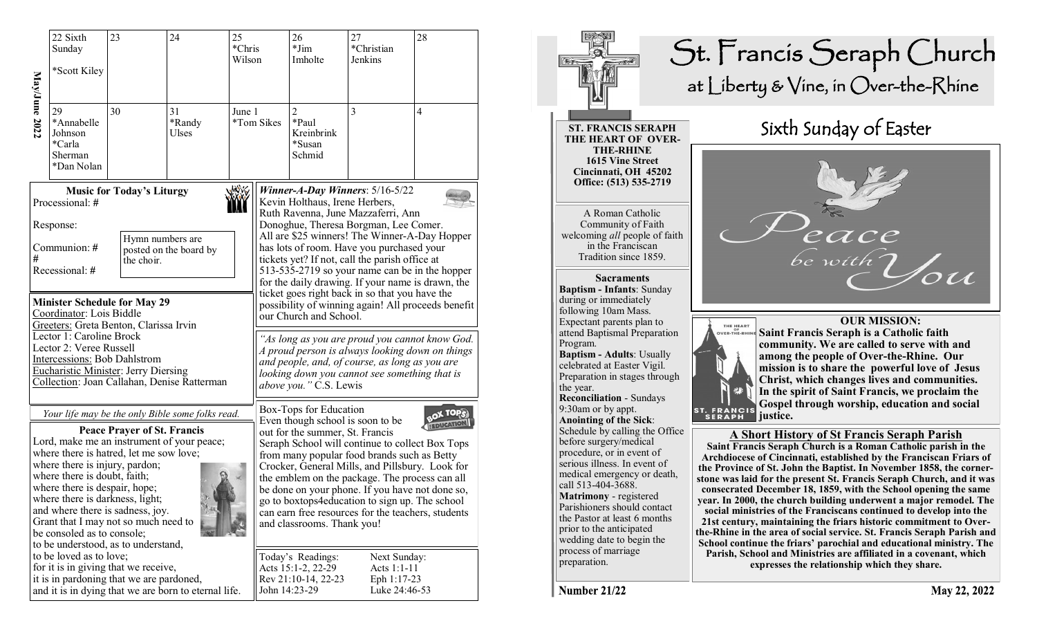|                                                                                                                                                                                                                                                                                                                                                                                                                                                                        | 22 Sixth<br>Sunday<br>*Scott Kiley                             | 23                                                                               | 24                                                   | 25<br>*Chris<br>Wilson |                                                                                                                                                                                                                                                                                                                                                                                                                                                                                                          | 26<br>$*Jim$<br>Imholte                                                                                                                            | 27<br>*Christian<br>Jenkins                                 | 28             |  |
|------------------------------------------------------------------------------------------------------------------------------------------------------------------------------------------------------------------------------------------------------------------------------------------------------------------------------------------------------------------------------------------------------------------------------------------------------------------------|----------------------------------------------------------------|----------------------------------------------------------------------------------|------------------------------------------------------|------------------------|----------------------------------------------------------------------------------------------------------------------------------------------------------------------------------------------------------------------------------------------------------------------------------------------------------------------------------------------------------------------------------------------------------------------------------------------------------------------------------------------------------|----------------------------------------------------------------------------------------------------------------------------------------------------|-------------------------------------------------------------|----------------|--|
| May/June 2022                                                                                                                                                                                                                                                                                                                                                                                                                                                          | 29<br>*Annabelle<br>Johnson<br>*Carla<br>Sherman<br>*Dan Nolan | 30                                                                               | 31<br>*Randy<br>Ulses                                | June 1                 | *Tom Sikes                                                                                                                                                                                                                                                                                                                                                                                                                                                                                               | $\overline{2}$<br>*Paul<br>Kreinbrink<br>*Susan<br>Schmid                                                                                          | 3                                                           | $\overline{4}$ |  |
| <b>Music for Today's Liturgy</b><br>Processional: #<br>Response:                                                                                                                                                                                                                                                                                                                                                                                                       |                                                                |                                                                                  |                                                      |                        |                                                                                                                                                                                                                                                                                                                                                                                                                                                                                                          | Winner-A-Day Winners: $5/16-5/22$<br>Kevin Holthaus, Irene Herbers,<br>Ruth Ravenna, June Mazzaferri, Ann<br>Donoghue, Theresa Borgman, Lee Comer. |                                                             |                |  |
| #                                                                                                                                                                                                                                                                                                                                                                                                                                                                      | Communion: #<br>Recessional: #                                 | Hymn numbers are<br>the choir.                                                   | posted on the board by                               |                        | All are \$25 winners! The Winner-A-Day Hopper<br>has lots of room. Have you purchased your<br>tickets yet? If not, call the parish office at<br>513-535-2719 so your name can be in the hopper<br>for the daily drawing. If your name is drawn, the                                                                                                                                                                                                                                                      |                                                                                                                                                    |                                                             |                |  |
| <b>Minister Schedule for May 29</b><br>Coordinator: Lois Biddle<br>Greeters: Greta Benton, Clarissa Irvin<br>Lector 1: Caroline Brock<br>Lector 2: Veree Russell<br>Intercessions: Bob Dahlstrom<br><b>Eucharistic Minister: Jerry Diersing</b><br>Collection: Joan Callahan, Denise Ratterman                                                                                                                                                                         |                                                                |                                                                                  |                                                      |                        | ticket goes right back in so that you have the<br>possibility of winning again! All proceeds benefit<br>our Church and School.<br>"As long as you are proud you cannot know God.<br>A proud person is always looking down on things<br>and people, and, of course, as long as you are<br>looking down you cannot see something that is<br>above you. " C.S. Lewis                                                                                                                                        |                                                                                                                                                    |                                                             |                |  |
| Your life may be the only Bible some folks read.<br><b>Peace Prayer of St. Francis</b><br>Lord, make me an instrument of your peace;<br>where there is hatred, let me sow love;<br>where there is injury, pardon;<br>where there is doubt, faith;<br>where there is despair, hope;<br>where there is darkness, light;<br>and where there is sadness, joy.<br>Grant that I may not so much need to<br>be consoled as to console;<br>to be understood, as to understand, |                                                                |                                                                                  |                                                      |                        | Box-Tops for Education<br>OX TOPS<br>Even though school is soon to be<br>out for the summer, St. Francis<br>Seraph School will continue to collect Box Tops<br>from many popular food brands such as Betty<br>Crocker, General Mills, and Pillsbury. Look for<br>the emblem on the package. The process can all<br>be done on your phone. If you have not done so,<br>go to boxtops4education to sign up. The school<br>can earn free resources for the teachers, students<br>and classrooms. Thank you! |                                                                                                                                                    |                                                             |                |  |
|                                                                                                                                                                                                                                                                                                                                                                                                                                                                        | to be loved as to love;                                        | for it is in giving that we receive,<br>it is in pardoning that we are pardoned, | and it is in dying that we are born to eternal life. |                        |                                                                                                                                                                                                                                                                                                                                                                                                                                                                                                          | Today's Readings:<br>Acts 15:1-2, 22-29<br>Rev 21:10-14, 22-23<br>John 14:23-29                                                                    | Next Sunday:<br>Acts 1:1-11<br>Eph 1:17-23<br>Luke 24:46-53 |                |  |